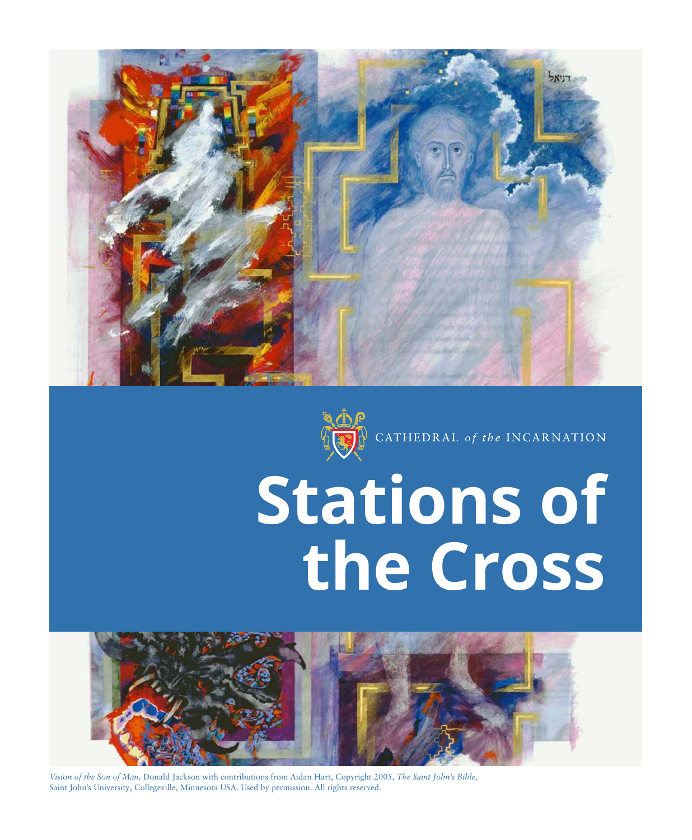



# **Stations of the Cross**



*Vision of the Son of Man,* Donald Jackson with contributions from Aidan Hart, Copyright 2005, *The Saint John's Bible,*  Saint John's University, Collegeville, Minnesota USA. Used by permission. All rights reserved.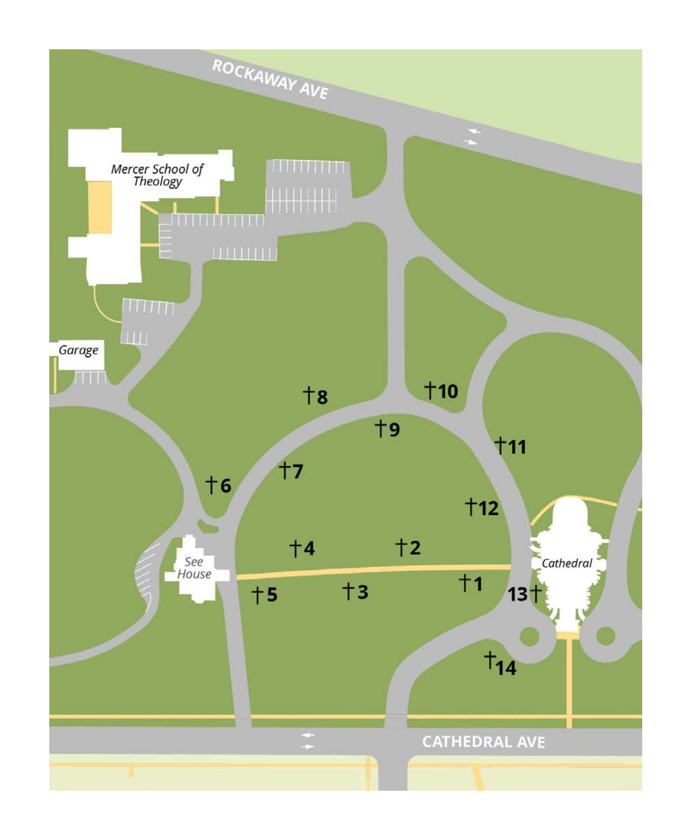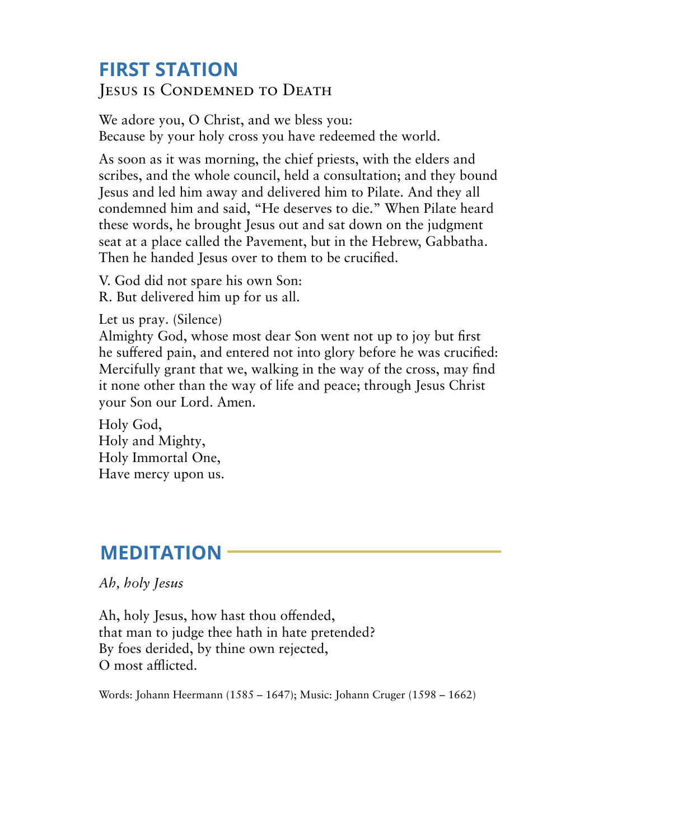# **FIRST STATION**

#### Jesus is Condemned to Death

We adore you, O Christ, and we bless you: Because by your holy cross you have redeemed the world.

As soon as it was morning, the chief priests, with the elders and scribes, and the whole council, held a consultation; and they bound Jesus and led him away and delivered him to Pilate. And they all condemned him and said, "He deserves to die." When Pilate heard these words, he brought Jesus out and sat down on the judgment seat at a place called the Pavement, but in the Hebrew, Gabbatha. Then he handed Jesus over to them to be crucified.

V. God did not spare his own Son: R. But delivered him up for us all.

Let us pray. (Silence)

Almighty God, whose most dear Son went not up to joy but first he suffered pain, and entered not into glory before he was crucified: Mercifully grant that we, walking in the way of the cross, may find it none other than the way of life and peace; through Jesus Christ your Son our Lord. Amen.

Holy God, Holy and Mighty, Holy Immortal One, Have mercy upon us.

## **MEDITATION**

*Ah, holy Jesus*

Ah, holy Jesus, how hast thou offended, that man to judge thee hath in hate pretended? By foes derided, by thine own rejected, O most afflicted.

Words: Johann Heermann (1585 – 1647); Music: Johann Cruger (1598 – 1662)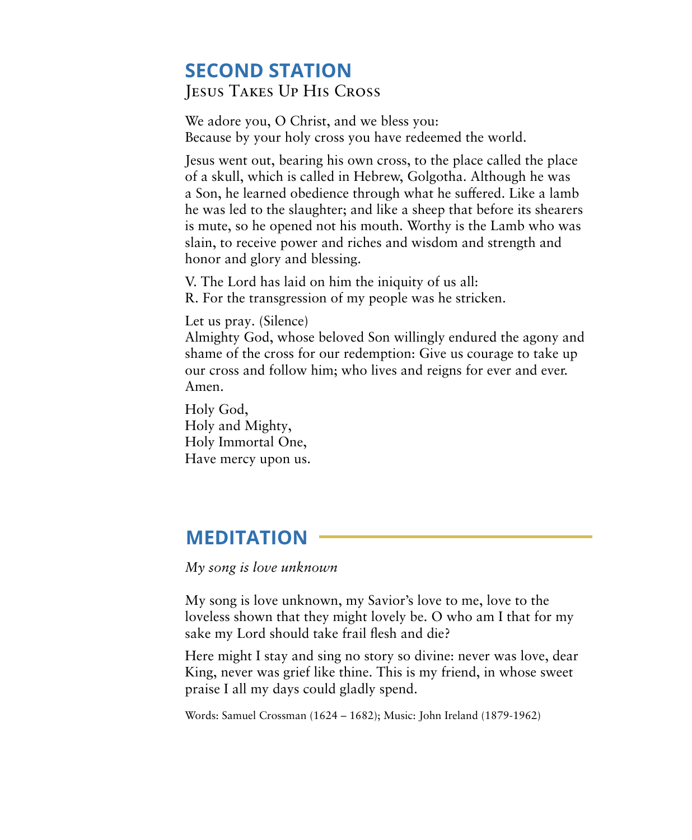#### **SECOND STATION** Jesus Takes Up His Cross

We adore you, O Christ, and we bless you: Because by your holy cross you have redeemed the world.

Jesus went out, bearing his own cross, to the place called the place of a skull, which is called in Hebrew, Golgotha. Although he was a Son, he learned obedience through what he suffered. Like a lamb he was led to the slaughter; and like a sheep that before its shearers is mute, so he opened not his mouth. Worthy is the Lamb who was slain, to receive power and riches and wisdom and strength and honor and glory and blessing.

V. The Lord has laid on him the iniquity of us all: R. For the transgression of my people was he stricken.

Let us pray. (Silence)

Almighty God, whose beloved Son willingly endured the agony and shame of the cross for our redemption: Give us courage to take up our cross and follow him; who lives and reigns for ever and ever. Amen.

Holy God, Holy and Mighty, Holy Immortal One, Have mercy upon us.

### **MEDITATION**

*My song is love unknown*

My song is love unknown, my Savior's love to me, love to the loveless shown that they might lovely be. O who am I that for my sake my Lord should take frail flesh and die?

Here might I stay and sing no story so divine: never was love, dear King, never was grief like thine. This is my friend, in whose sweet praise I all my days could gladly spend.

Words: Samuel Crossman (1624 – 1682); Music: John Ireland (1879-1962)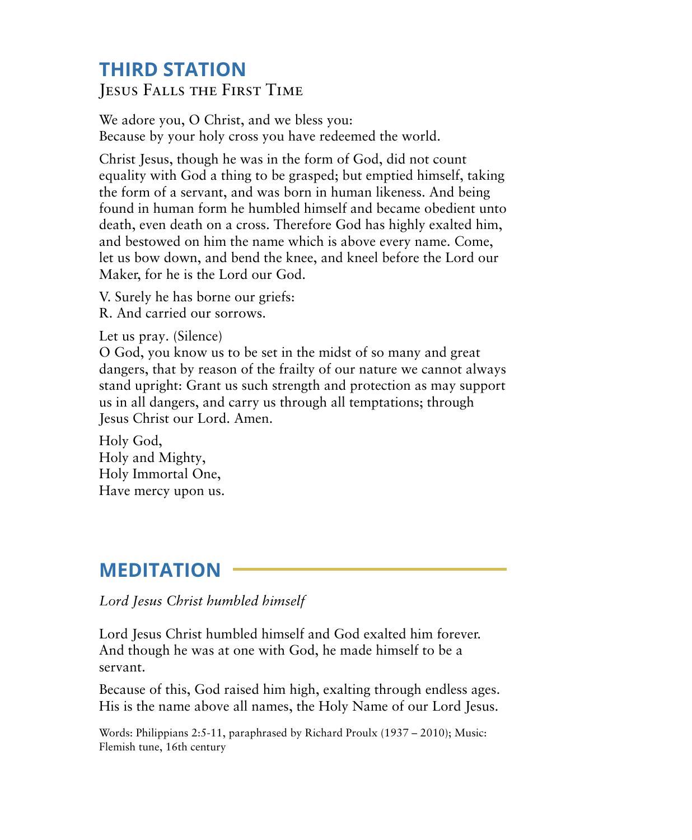## **THIRD STATION**

Jesus Falls the First Time

We adore you, O Christ, and we bless you: Because by your holy cross you have redeemed the world.

Christ Jesus, though he was in the form of God, did not count equality with God a thing to be grasped; but emptied himself, taking the form of a servant, and was born in human likeness. And being found in human form he humbled himself and became obedient unto death, even death on a cross. Therefore God has highly exalted him, and bestowed on him the name which is above every name. Come, let us bow down, and bend the knee, and kneel before the Lord our Maker, for he is the Lord our God.

V. Surely he has borne our griefs: R. And carried our sorrows.

Let us pray. (Silence)

O God, you know us to be set in the midst of so many and great dangers, that by reason of the frailty of our nature we cannot always stand upright: Grant us such strength and protection as may support us in all dangers, and carry us through all temptations; through Jesus Christ our Lord. Amen.

Holy God, Holy and Mighty, Holy Immortal One, Have mercy upon us.

# **MEDITATION**

*Lord Jesus Christ humbled himself*

Lord Jesus Christ humbled himself and God exalted him forever. And though he was at one with God, he made himself to be a servant.

Because of this, God raised him high, exalting through endless ages. His is the name above all names, the Holy Name of our Lord Jesus.

Words: Philippians 2:5-11, paraphrased by Richard Proulx (1937 – 2010); Music: Flemish tune, 16th century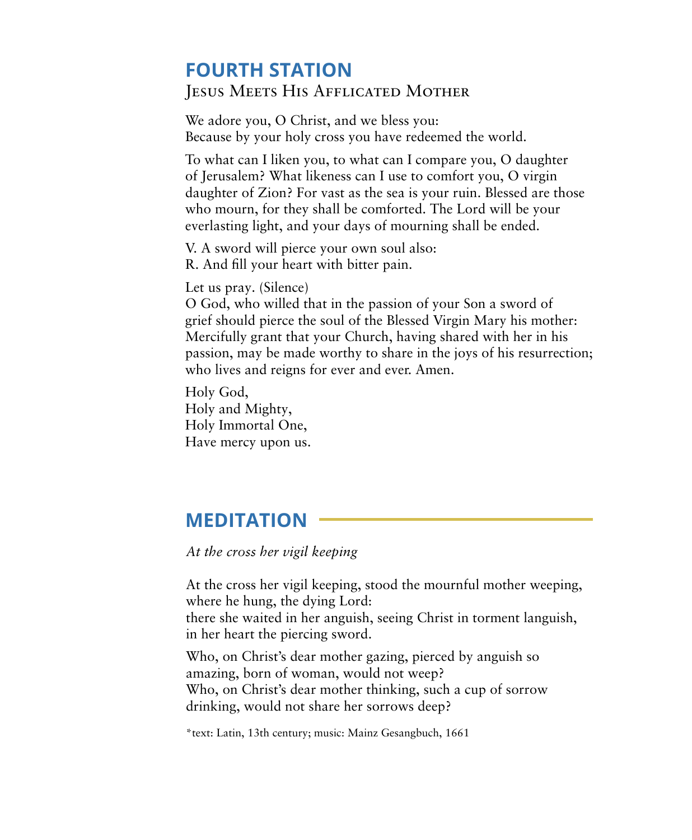#### **FOURTH STATION** Jesus Meets His Afflicated Mother

We adore you, O Christ, and we bless you: Because by your holy cross you have redeemed the world.

To what can I liken you, to what can I compare you, O daughter of Jerusalem? What likeness can I use to comfort you, O virgin daughter of Zion? For vast as the sea is your ruin. Blessed are those who mourn, for they shall be comforted. The Lord will be your everlasting light, and your days of mourning shall be ended.

V. A sword will pierce your own soul also: R. And fill your heart with bitter pain.

Let us pray. (Silence)

O God, who willed that in the passion of your Son a sword of grief should pierce the soul of the Blessed Virgin Mary his mother: Mercifully grant that your Church, having shared with her in his passion, may be made worthy to share in the joys of his resurrection; who lives and reigns for ever and ever. Amen.

Holy God, Holy and Mighty, Holy Immortal One, Have mercy upon us.

## **MEDITATION**

*At the cross her vigil keeping*

At the cross her vigil keeping, stood the mournful mother weeping, where he hung, the dying Lord:

there she waited in her anguish, seeing Christ in torment languish, in her heart the piercing sword.

Who, on Christ's dear mother gazing, pierced by anguish so amazing, born of woman, would not weep? Who, on Christ's dear mother thinking, such a cup of sorrow drinking, would not share her sorrows deep?

\*text: Latin, 13th century; music: Mainz Gesangbuch, 1661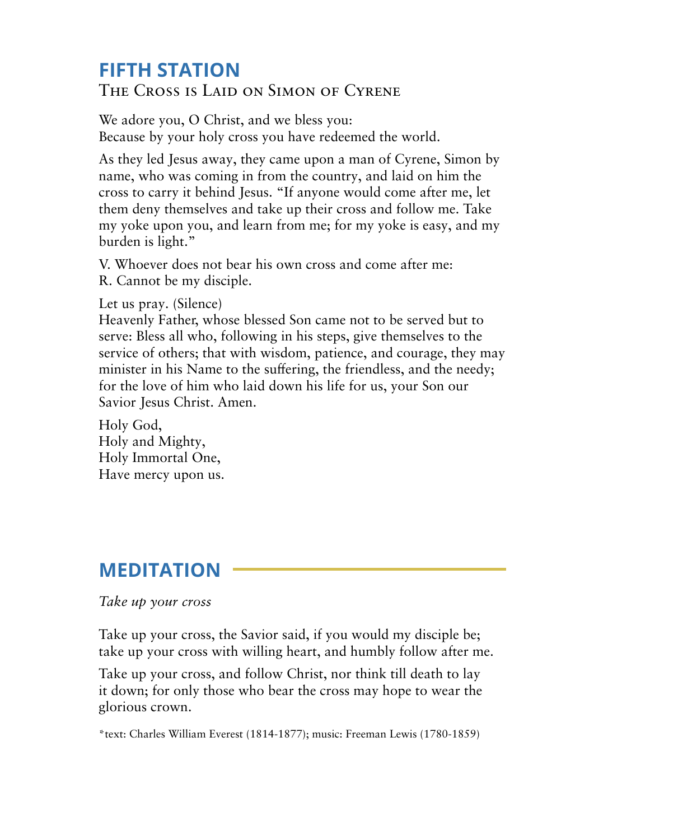# **FIFTH STATION**

#### The Cross is Laid on Simon of Cyrene

We adore you, O Christ, and we bless you: Because by your holy cross you have redeemed the world.

As they led Jesus away, they came upon a man of Cyrene, Simon by name, who was coming in from the country, and laid on him the cross to carry it behind Jesus. "If anyone would come after me, let them deny themselves and take up their cross and follow me. Take my yoke upon you, and learn from me; for my yoke is easy, and my burden is light."

V. Whoever does not bear his own cross and come after me: R. Cannot be my disciple.

Let us pray. (Silence)

Heavenly Father, whose blessed Son came not to be served but to serve: Bless all who, following in his steps, give themselves to the service of others; that with wisdom, patience, and courage, they may minister in his Name to the suffering, the friendless, and the needy; for the love of him who laid down his life for us, your Son our Savior Jesus Christ. Amen.

Holy God, Holy and Mighty, Holy Immortal One, Have mercy upon us.

# **MEDITATION**

#### *Take up your cross*

Take up your cross, the Savior said, if you would my disciple be; take up your cross with willing heart, and humbly follow after me.

Take up your cross, and follow Christ, nor think till death to lay it down; for only those who bear the cross may hope to wear the glorious crown.

\*text: Charles William Everest (1814-1877); music: Freeman Lewis (1780-1859)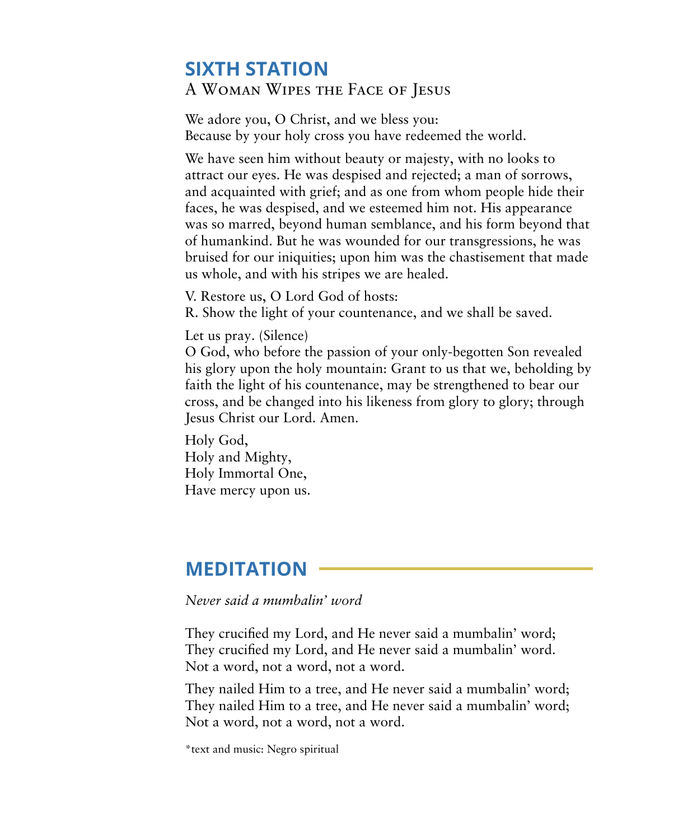#### **SIXTH STATION** A Woman Wipes the Face of Jesus

We adore you, O Christ, and we bless you: Because by your holy cross you have redeemed the world.

We have seen him without beauty or majesty, with no looks to attract our eyes. He was despised and rejected; a man of sorrows, and acquainted with grief; and as one from whom people hide their faces, he was despised, and we esteemed him not. His appearance was so marred, beyond human semblance, and his form beyond that of humankind. But he was wounded for our transgressions, he was bruised for our iniquities; upon him was the chastisement that made us whole, and with his stripes we are healed.

V. Restore us, O Lord God of hosts:

R. Show the light of your countenance, and we shall be saved.

Let us pray. (Silence)

O God, who before the passion of your only-begotten Son revealed his glory upon the holy mountain: Grant to us that we, beholding by faith the light of his countenance, may be strengthened to bear our cross, and be changed into his likeness from glory to glory; through Jesus Christ our Lord. Amen.

Holy God, Holy and Mighty, Holy Immortal One, Have mercy upon us.

## **MEDITATION**

*Never said a mumbalin' word*

They crucified my Lord, and He never said a mumbalin' word; They crucified my Lord, and He never said a mumbalin' word. Not a word, not a word, not a word.

They nailed Him to a tree, and He never said a mumbalin' word; They nailed Him to a tree, and He never said a mumbalin' word; Not a word, not a word, not a word.

\*text and music: Negro spiritual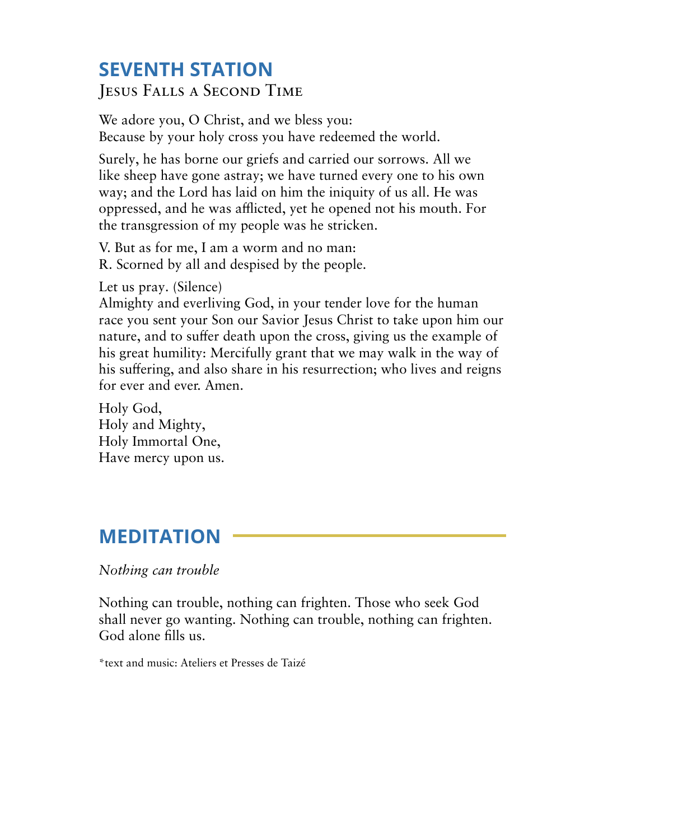## **SEVENTH STATION**

Jesus Falls a Second Time

We adore you, O Christ, and we bless you: Because by your holy cross you have redeemed the world.

Surely, he has borne our griefs and carried our sorrows. All we like sheep have gone astray; we have turned every one to his own way; and the Lord has laid on him the iniquity of us all. He was oppressed, and he was afflicted, yet he opened not his mouth. For the transgression of my people was he stricken.

V. But as for me, I am a worm and no man: R. Scorned by all and despised by the people.

Let us pray. (Silence)

Almighty and everliving God, in your tender love for the human race you sent your Son our Savior Jesus Christ to take upon him our nature, and to suffer death upon the cross, giving us the example of his great humility: Mercifully grant that we may walk in the way of his suffering, and also share in his resurrection; who lives and reigns for ever and ever. Amen.

Holy God, Holy and Mighty, Holy Immortal One, Have mercy upon us.

## **MEDITATION**

*Nothing can trouble*

Nothing can trouble, nothing can frighten. Those who seek God shall never go wanting. Nothing can trouble, nothing can frighten. God alone fills us.

\*text and music: Ateliers et Presses de Taizé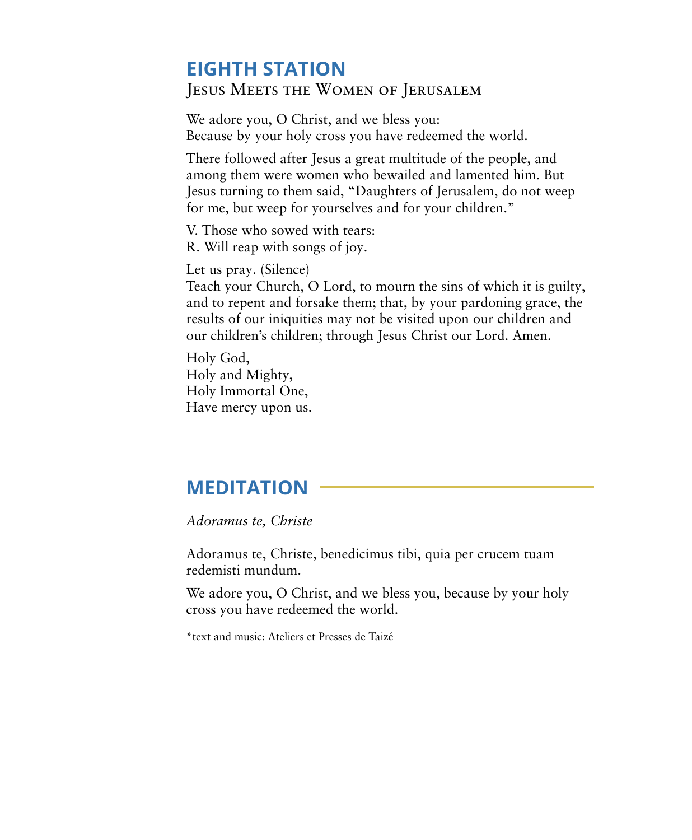#### **EIGHTH STATION** Jesus Meets the Women of Jerusalem

We adore you, O Christ, and we bless you: Because by your holy cross you have redeemed the world.

There followed after Jesus a great multitude of the people, and among them were women who bewailed and lamented him. But Jesus turning to them said, "Daughters of Jerusalem, do not weep for me, but weep for yourselves and for your children."

V. Those who sowed with tears: R. Will reap with songs of joy.

Let us pray. (Silence)

Teach your Church, O Lord, to mourn the sins of which it is guilty, and to repent and forsake them; that, by your pardoning grace, the results of our iniquities may not be visited upon our children and our children's children; through Jesus Christ our Lord. Amen.

Holy God, Holy and Mighty, Holy Immortal One, Have mercy upon us.

# **MEDITATION**

*Adoramus te, Christe*

Adoramus te, Christe, benedicimus tibi, quia per crucem tuam redemisti mundum.

We adore you, O Christ, and we bless you, because by your holy cross you have redeemed the world.

\*text and music: Ateliers et Presses de Taizé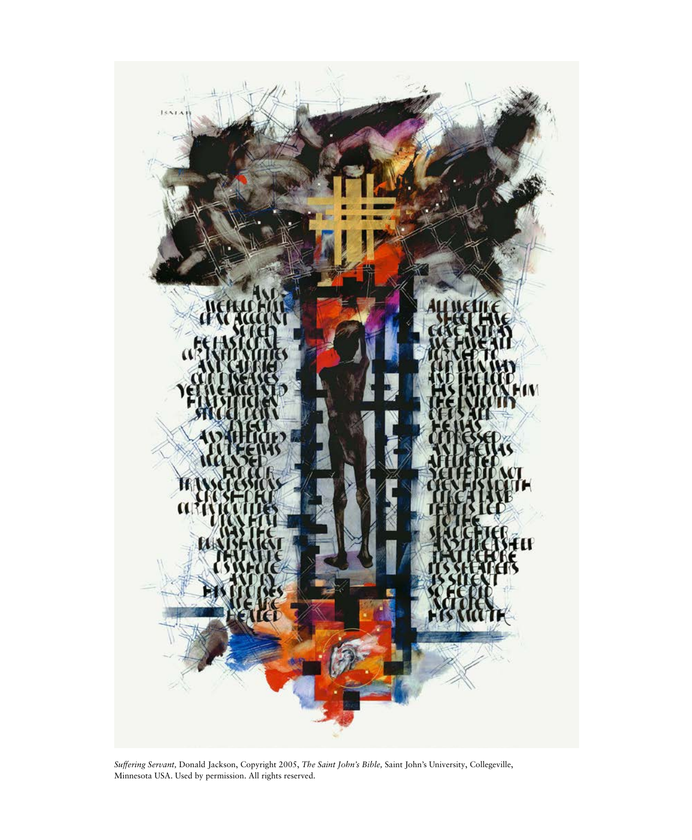

*Suffering Servant,* Donald Jackson, Copyright 2005, *The Saint John's Bible,* Saint John's University, Collegeville, Minnesota USA. Used by permission. All rights reserved.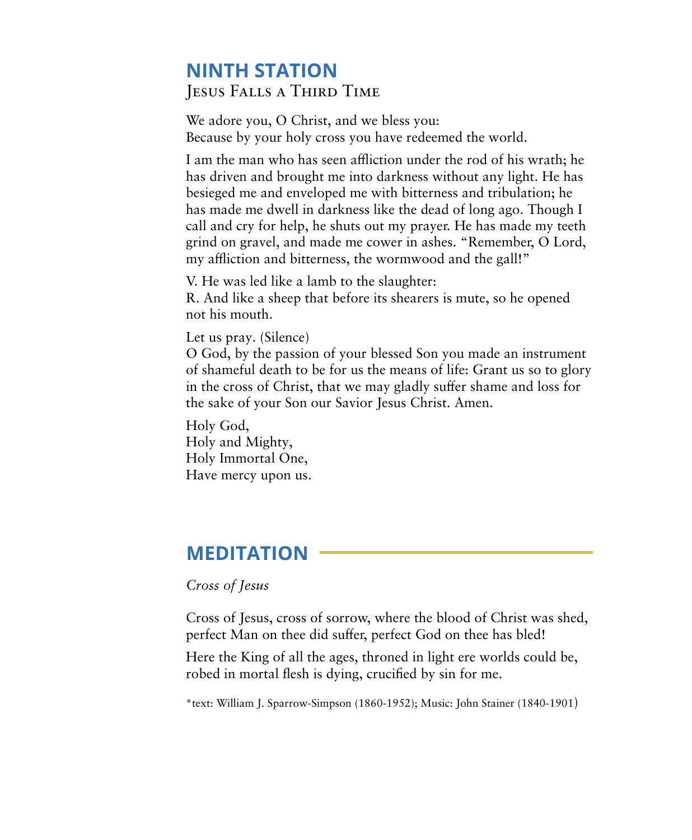#### **NINTH STATION** Jesus Falls a Third Time

We adore you, O Christ, and we bless you: Because by your holy cross you have redeemed the world.

I am the man who has seen affliction under the rod of his wrath; he has driven and brought me into darkness without any light. He has besieged me and enveloped me with bitterness and tribulation; he has made me dwell in darkness like the dead of long ago. Though I call and cry for help, he shuts out my prayer. He has made my teeth grind on gravel, and made me cower in ashes. "Remember, O Lord, my affliction and bitterness, the wormwood and the gall!"

V. He was led like a lamb to the slaughter:

R. And like a sheep that before its shearers is mute, so he opened not his mouth.

Let us pray. (Silence)

O God, by the passion of your blessed Son you made an instrument of shameful death to be for us the means of life: Grant us so to glory in the cross of Christ, that we may gladly suffer shame and loss for the sake of your Son our Savior Jesus Christ. Amen.

Holy God, Holy and Mighty, Holy Immortal One, Have mercy upon us.

# **MEDITATION**

#### *Cross of Jesus*

Cross of Jesus, cross of sorrow, where the blood of Christ was shed, perfect Man on thee did suffer, perfect God on thee has bled!

Here the King of all the ages, throned in light ere worlds could be, robed in mortal flesh is dying, crucified by sin for me.

\*text: William J. Sparrow-Simpson (1860-1952); Music: John Stainer (1840-1901)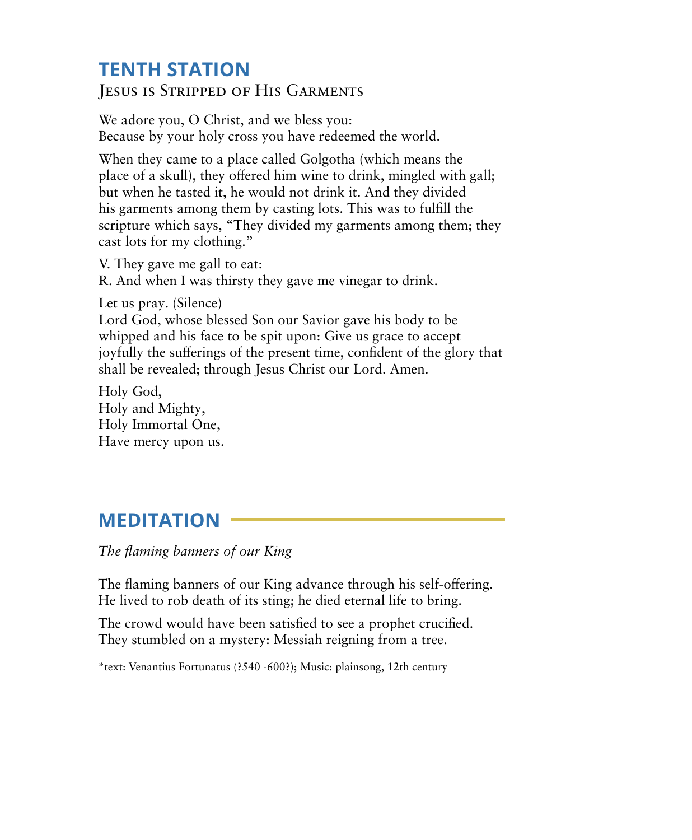# **TENTH STATION**

#### Jesus is Stripped of His Garments

We adore you, O Christ, and we bless you: Because by your holy cross you have redeemed the world.

When they came to a place called Golgotha (which means the place of a skull), they offered him wine to drink, mingled with gall; but when he tasted it, he would not drink it. And they divided his garments among them by casting lots. This was to fulfill the scripture which says, "They divided my garments among them; they cast lots for my clothing."

V. They gave me gall to eat: R. And when I was thirsty they gave me vinegar to drink.

Let us pray. (Silence)

Lord God, whose blessed Son our Savior gave his body to be whipped and his face to be spit upon: Give us grace to accept joyfully the sufferings of the present time, confident of the glory that shall be revealed; through Jesus Christ our Lord. Amen.

Holy God, Holy and Mighty, Holy Immortal One, Have mercy upon us.

# **MEDITATION**

*The flaming banners of our King*

The flaming banners of our King advance through his self-offering. He lived to rob death of its sting; he died eternal life to bring.

The crowd would have been satisfied to see a prophet crucified. They stumbled on a mystery: Messiah reigning from a tree.

\*text: Venantius Fortunatus (?540 -600?); Music: plainsong, 12th century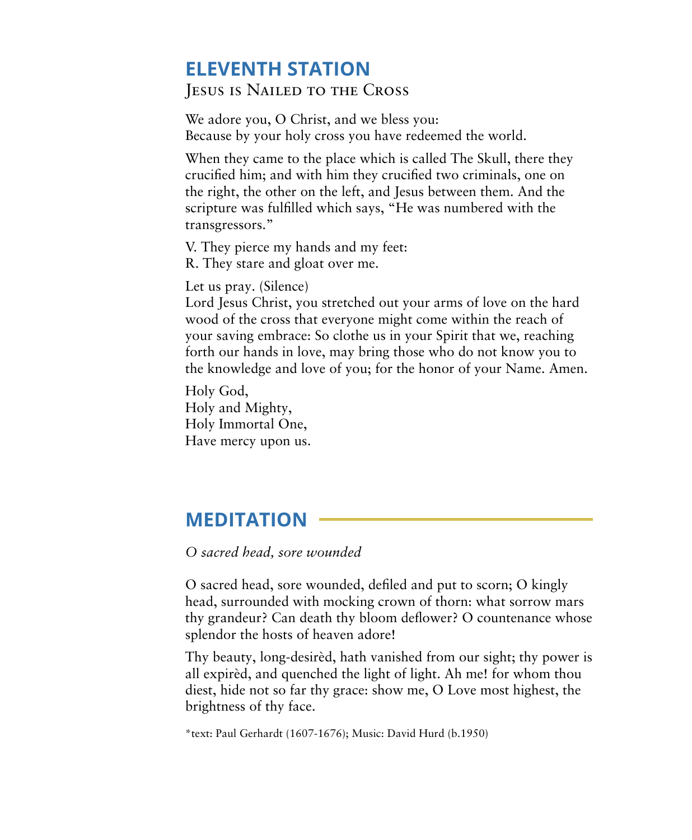## **ELEVENTH STATION**

#### Jesus is Nailed to the Cross

We adore you, O Christ, and we bless you: Because by your holy cross you have redeemed the world.

When they came to the place which is called The Skull, there they crucified him; and with him they crucified two criminals, one on the right, the other on the left, and Jesus between them. And the scripture was fulfilled which says, "He was numbered with the transgressors."

V. They pierce my hands and my feet:

R. They stare and gloat over me.

#### Let us pray. (Silence)

Lord Jesus Christ, you stretched out your arms of love on the hard wood of the cross that everyone might come within the reach of your saving embrace: So clothe us in your Spirit that we, reaching forth our hands in love, may bring those who do not know you to the knowledge and love of you; for the honor of your Name. Amen.

Holy God, Holy and Mighty, Holy Immortal One, Have mercy upon us.

### **MEDITATION**

*O sacred head, sore wounded*

O sacred head, sore wounded, defiled and put to scorn; O kingly head, surrounded with mocking crown of thorn: what sorrow mars thy grandeur? Can death thy bloom deflower? O countenance whose splendor the hosts of heaven adore!

Thy beauty, long-desirèd, hath vanished from our sight; thy power is all expirèd, and quenched the light of light. Ah me! for whom thou diest, hide not so far thy grace: show me, O Love most highest, the brightness of thy face.

\*text: Paul Gerhardt (1607-1676); Music: David Hurd (b.1950)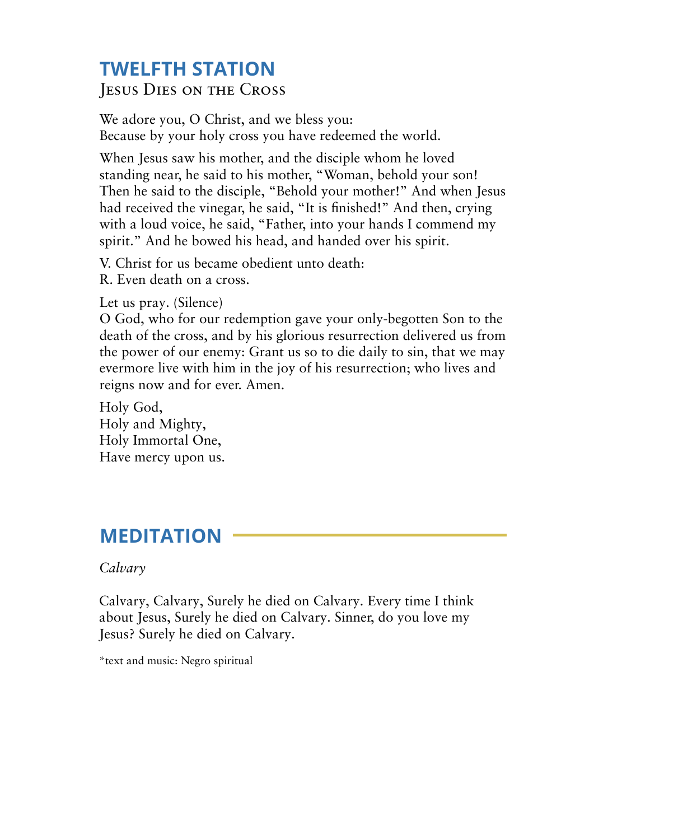# **TWELFTH STATION**

Jesus Dies on the Cross

We adore you, O Christ, and we bless you: Because by your holy cross you have redeemed the world.

When Jesus saw his mother, and the disciple whom he loved standing near, he said to his mother, "Woman, behold your son! Then he said to the disciple, "Behold your mother!" And when Jesus had received the vinegar, he said, "It is finished!" And then, crying with a loud voice, he said, "Father, into your hands I commend my spirit." And he bowed his head, and handed over his spirit.

V. Christ for us became obedient unto death:

R. Even death on a cross.

Let us pray. (Silence)

O God, who for our redemption gave your only-begotten Son to the death of the cross, and by his glorious resurrection delivered us from the power of our enemy: Grant us so to die daily to sin, that we may evermore live with him in the joy of his resurrection; who lives and reigns now and for ever. Amen.

Holy God, Holy and Mighty, Holy Immortal One, Have mercy upon us.

# **MEDITATION**

*Calvary*

Calvary, Calvary, Surely he died on Calvary. Every time I think about Jesus, Surely he died on Calvary. Sinner, do you love my Jesus? Surely he died on Calvary.

\*text and music: Negro spiritual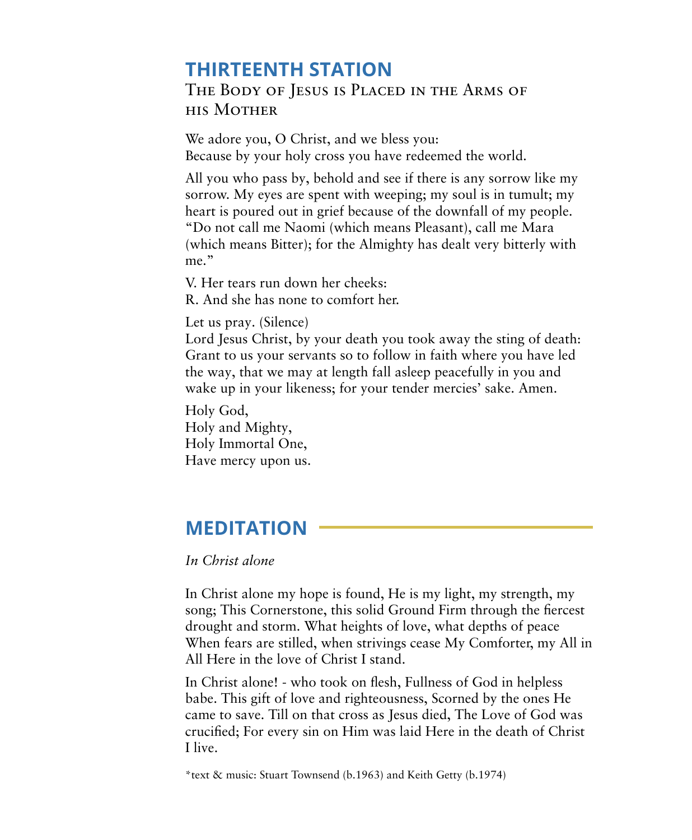#### **THIRTEENTH STATION**

#### THE BODY OF JESUS IS PLACED IN THE ARMS OF his Mother

We adore you, O Christ, and we bless you: Because by your holy cross you have redeemed the world.

All you who pass by, behold and see if there is any sorrow like my sorrow. My eyes are spent with weeping; my soul is in tumult; my heart is poured out in grief because of the downfall of my people. "Do not call me Naomi (which means Pleasant), call me Mara (which means Bitter); for the Almighty has dealt very bitterly with me."

V. Her tears run down her cheeks: R. And she has none to comfort her.

Let us pray. (Silence)

Lord Jesus Christ, by your death you took away the sting of death: Grant to us your servants so to follow in faith where you have led the way, that we may at length fall asleep peacefully in you and wake up in your likeness; for your tender mercies' sake. Amen.

Holy God, Holy and Mighty, Holy Immortal One, Have mercy upon us.

#### **MEDITATION**

#### *In Christ alone*

In Christ alone my hope is found, He is my light, my strength, my song; This Cornerstone, this solid Ground Firm through the fiercest drought and storm. What heights of love, what depths of peace When fears are stilled, when strivings cease My Comforter, my All in All Here in the love of Christ I stand.

In Christ alone! - who took on flesh, Fullness of God in helpless babe. This gift of love and righteousness, Scorned by the ones He came to save. Till on that cross as Jesus died, The Love of God was crucified; For every sin on Him was laid Here in the death of Christ I live.

\*text & music: Stuart Townsend (b.1963) and Keith Getty (b.1974)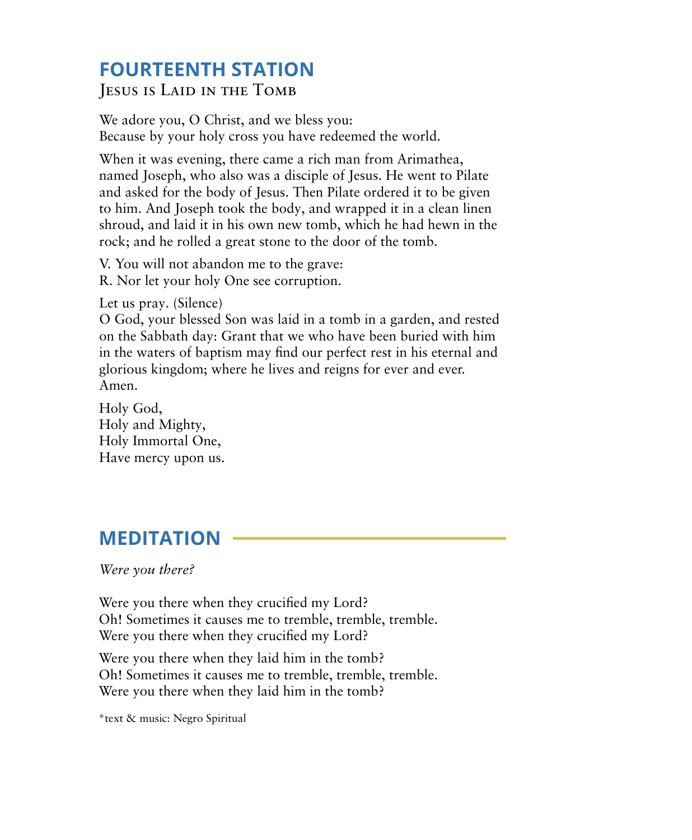# **FOURTEENTH STATION**

Jesus is Laid in the Tomb

We adore you, O Christ, and we bless you: Because by your holy cross you have redeemed the world.

When it was evening, there came a rich man from Arimathea, named Joseph, who also was a disciple of Jesus. He went to Pilate and asked for the body of Jesus. Then Pilate ordered it to be given to him. And Joseph took the body, and wrapped it in a clean linen shroud, and laid it in his own new tomb, which he had hewn in the rock; and he rolled a great stone to the door of the tomb.

V. You will not abandon me to the grave: R. Nor let your holy One see corruption.

Let us pray. (Silence)

O God, your blessed Son was laid in a tomb in a garden, and rested on the Sabbath day: Grant that we who have been buried with him in the waters of baptism may find our perfect rest in his eternal and glorious kingdom; where he lives and reigns for ever and ever. Amen.

Holy God, Holy and Mighty, Holy Immortal One, Have mercy upon us.

# **MEDITATION**

*Were you there?*

Were you there when they crucified my Lord? Oh! Sometimes it causes me to tremble, tremble, tremble. Were you there when they crucified my Lord?

Were you there when they laid him in the tomb? Oh! Sometimes it causes me to tremble, tremble, tremble. Were you there when they laid him in the tomb?

\*text & music: Negro Spiritual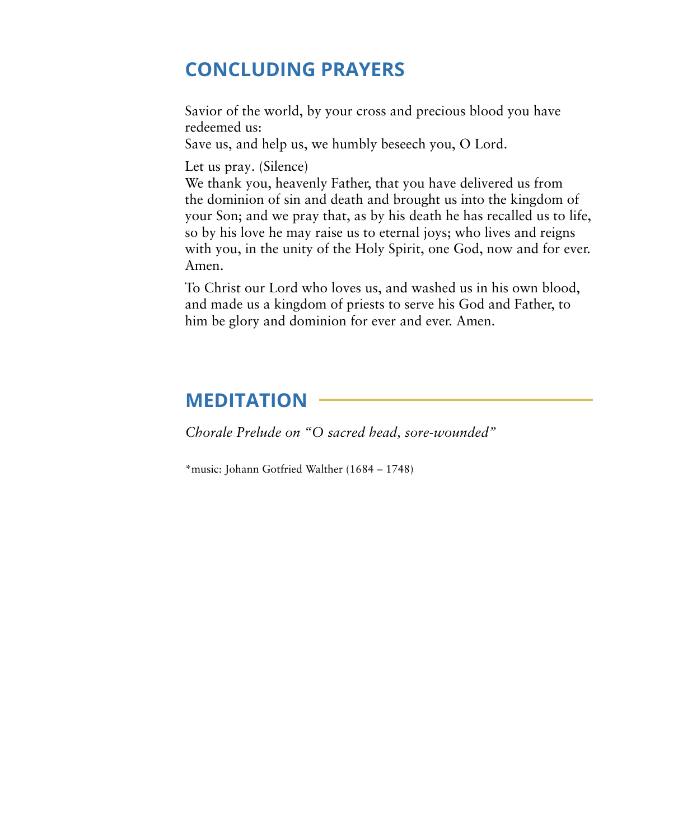### **CONCLUDING PRAYERS**

Savior of the world, by your cross and precious blood you have redeemed us:

Save us, and help us, we humbly beseech you, O Lord.

Let us pray. (Silence)

We thank you, heavenly Father, that you have delivered us from the dominion of sin and death and brought us into the kingdom of your Son; and we pray that, as by his death he has recalled us to life, so by his love he may raise us to eternal joys; who lives and reigns with you, in the unity of the Holy Spirit, one God, now and for ever. Amen.

To Christ our Lord who loves us, and washed us in his own blood, and made us a kingdom of priests to serve his God and Father, to him be glory and dominion for ever and ever. Amen.

#### **MEDITATION**

*Chorale Prelude on "O sacred head, sore-wounded"*

\*music: Johann Gotfried Walther (1684 – 1748)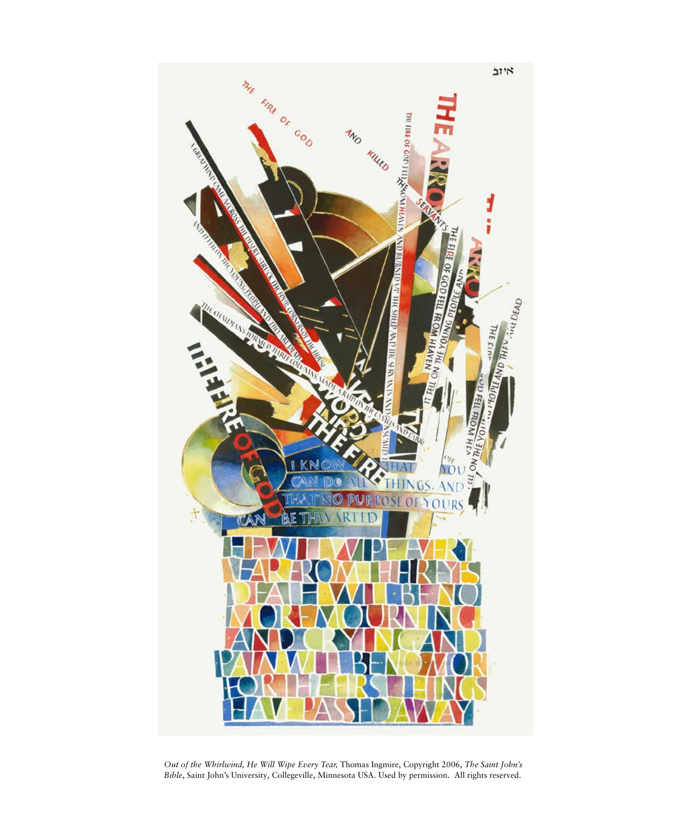

*Out of the Whirlwind, He Will Wipe Every Tear,* Thomas Ingmire, Copyright 2006, *The Saint John's Bible*, Saint John's University, Collegeville, Minnesota USA. Used by permission. All rights reserved.